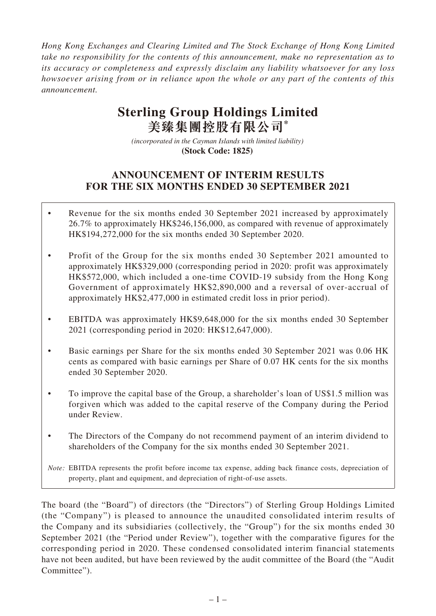*Hong Kong Exchanges and Clearing Limited and The Stock Exchange of Hong Kong Limited take no responsibility for the contents of this announcement, make no representation as to its accuracy or completeness and expressly disclaim any liability whatsoever for any loss howsoever arising from or in reliance upon the whole or any part of the contents of this announcement.*

# **Sterling Group Holdings Limited 美臻集團控股有限公司\***

*(incorporated in the Cayman Islands with limited liability)*  **(Stock Code: 1825)** 

## **ANNOUNCEMENT OF INTERIM RESULTS FOR THE SIX MONTHS ENDED 30 SEPTEMBER 2021**

- Revenue for the six months ended 30 September 2021 increased by approximately 26.7% to approximately HK\$246,156,000, as compared with revenue of approximately HK\$194,272,000 for the six months ended 30 September 2020.
- Profit of the Group for the six months ended 30 September 2021 amounted to approximately HK\$329,000 (corresponding period in 2020: profit was approximately HK\$572,000, which included a one-time COVID-19 subsidy from the Hong Kong Government of approximately HK\$2,890,000 and a reversal of over-accrual of approximately HK\$2,477,000 in estimated credit loss in prior period).
- EBITDA was approximately HK\$9,648,000 for the six months ended 30 September 2021 (corresponding period in 2020: HK\$12,647,000).
- Basic earnings per Share for the six months ended 30 September 2021 was 0.06 HK cents as compared with basic earnings per Share of 0.07 HK cents for the six months ended 30 September 2020.
- To improve the capital base of the Group, a shareholder's loan of US\$1.5 million was forgiven which was added to the capital reserve of the Company during the Period under Review.
- The Directors of the Company do not recommend payment of an interim dividend to shareholders of the Company for the six months ended 30 September 2021.

*Note:* EBITDA represents the profit before income tax expense, adding back finance costs, depreciation of property, plant and equipment, and depreciation of right-of-use assets.

The board (the "Board") of directors (the "Directors") of Sterling Group Holdings Limited (the "Company") is pleased to announce the unaudited consolidated interim results of the Company and its subsidiaries (collectively, the "Group") for the six months ended 30 September 2021 (the "Period under Review"), together with the comparative figures for the corresponding period in 2020. These condensed consolidated interim financial statements have not been audited, but have been reviewed by the audit committee of the Board (the "Audit Committee").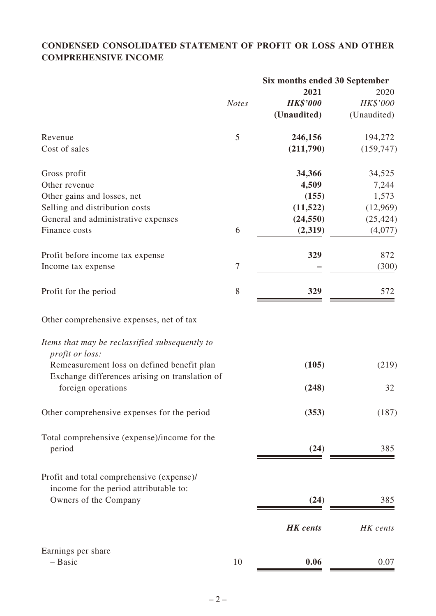## **CONDENSED CONSOLIDATED STATEMENT OF PROFIT OR LOSS AND OTHER COMPREHENSIVE INCOME**

|                                                                                              |                | Six months ended 30 September |             |
|----------------------------------------------------------------------------------------------|----------------|-------------------------------|-------------|
|                                                                                              |                | 2021                          | 2020        |
|                                                                                              | <b>Notes</b>   | <b>HK\$'000</b>               | HK\$'000    |
|                                                                                              |                | (Unaudited)                   | (Unaudited) |
| Revenue                                                                                      | 5              | 246,156                       | 194,272     |
| Cost of sales                                                                                |                | (211,790)                     | (159, 747)  |
| Gross profit                                                                                 |                | 34,366                        | 34,525      |
| Other revenue                                                                                |                | 4,509                         | 7,244       |
| Other gains and losses, net                                                                  |                | (155)                         | 1,573       |
| Selling and distribution costs                                                               |                | (11, 522)                     | (12,969)    |
| General and administrative expenses                                                          |                | (24, 550)                     | (25, 424)   |
| Finance costs                                                                                | 6              | (2,319)                       | (4,077)     |
| Profit before income tax expense                                                             |                | 329                           | 872         |
| Income tax expense                                                                           | $\overline{7}$ |                               | (300)       |
| Profit for the period                                                                        | 8              | 329                           | 572         |
| Other comprehensive expenses, net of tax                                                     |                |                               |             |
| Items that may be reclassified subsequently to<br>profit or loss:                            |                |                               |             |
| Remeasurement loss on defined benefit plan<br>Exchange differences arising on translation of |                | (105)                         | (219)       |
| foreign operations                                                                           |                | (248)                         | 32          |
| Other comprehensive expenses for the period                                                  |                | (353)                         | (187)       |
| Total comprehensive (expense)/income for the                                                 |                |                               |             |
| period                                                                                       |                | (24)                          | 385         |
| Profit and total comprehensive (expense)/                                                    |                |                               |             |
| income for the period attributable to:                                                       |                |                               |             |
| Owners of the Company                                                                        |                | (24)                          | 385         |
|                                                                                              |                | <b>HK</b> cents               | HK cents    |
| Earnings per share                                                                           |                |                               |             |
| - Basic                                                                                      | 10             | 0.06                          | 0.07        |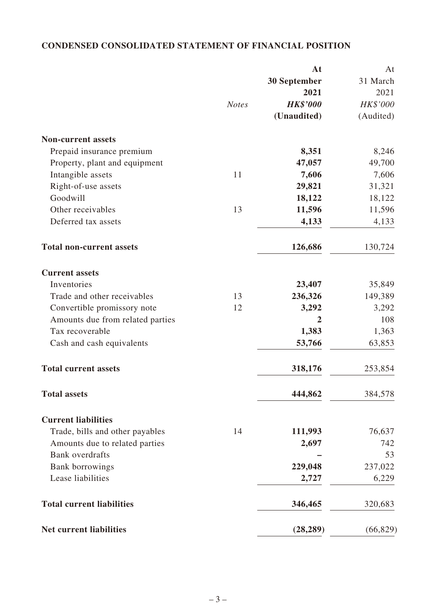## **CONDENSED CONSOLIDATED STATEMENT OF FINANCIAL POSITION**

|                                  |              | At              | At        |
|----------------------------------|--------------|-----------------|-----------|
|                                  |              | 30 September    | 31 March  |
|                                  |              | 2021            | 2021      |
|                                  | <b>Notes</b> | <b>HK\$'000</b> | HK\$'000  |
|                                  |              | (Unaudited)     | (Audited) |
| <b>Non-current assets</b>        |              |                 |           |
| Prepaid insurance premium        |              | 8,351           | 8,246     |
| Property, plant and equipment    |              | 47,057          | 49,700    |
| Intangible assets                | 11           | 7,606           | 7,606     |
| Right-of-use assets              |              | 29,821          | 31,321    |
| Goodwill                         |              | 18,122          | 18,122    |
| Other receivables                | 13           | 11,596          | 11,596    |
| Deferred tax assets              |              | 4,133           | 4,133     |
| <b>Total non-current assets</b>  |              | 126,686         | 130,724   |
| <b>Current assets</b>            |              |                 |           |
| Inventories                      |              | 23,407          | 35,849    |
| Trade and other receivables      | 13           | 236,326         | 149,389   |
| Convertible promissory note      | 12           | 3,292           | 3,292     |
| Amounts due from related parties |              | $\overline{2}$  | 108       |
| Tax recoverable                  |              | 1,383           | 1,363     |
| Cash and cash equivalents        |              | 53,766          | 63,853    |
| <b>Total current assets</b>      |              | 318,176         | 253,854   |
| <b>Total assets</b>              |              | 444,862         | 384,578   |
| <b>Current liabilities</b>       |              |                 |           |
| Trade, bills and other payables  | 14           | 111,993         | 76,637    |
| Amounts due to related parties   |              | 2,697           | 742       |
| <b>Bank</b> overdrafts           |              |                 | 53        |
| <b>Bank borrowings</b>           |              | 229,048         | 237,022   |
| Lease liabilities                |              | 2,727           | 6,229     |
| <b>Total current liabilities</b> |              | 346,465         | 320,683   |
| <b>Net current liabilities</b>   |              | (28, 289)       | (66, 829) |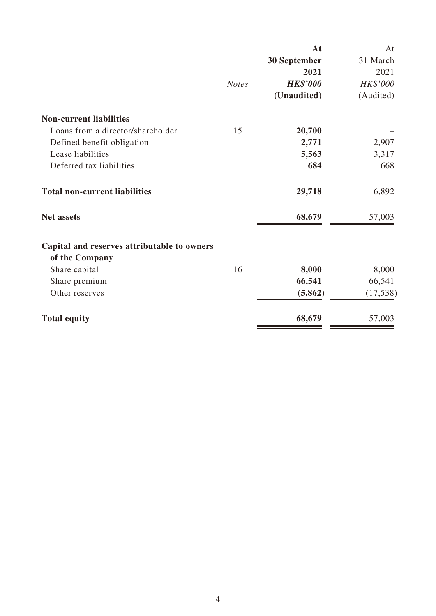|                                             |              | At              | At        |
|---------------------------------------------|--------------|-----------------|-----------|
|                                             |              | 30 September    | 31 March  |
|                                             |              | 2021            | 2021      |
|                                             | <b>Notes</b> | <b>HK\$'000</b> | HK\$'000  |
|                                             |              | (Unaudited)     | (Audited) |
| <b>Non-current liabilities</b>              |              |                 |           |
| Loans from a director/shareholder           | 15           | 20,700          |           |
| Defined benefit obligation                  |              | 2,771           | 2,907     |
| Lease liabilities                           |              | 5,563           | 3,317     |
| Deferred tax liabilities                    |              | 684             | 668       |
| <b>Total non-current liabilities</b>        |              | 29,718          | 6,892     |
| <b>Net assets</b>                           |              | 68,679          | 57,003    |
| Capital and reserves attributable to owners |              |                 |           |
| of the Company                              |              |                 |           |
| Share capital                               | 16           | 8,000           | 8,000     |
| Share premium                               |              | 66,541          | 66,541    |
| Other reserves                              |              | (5,862)         | (17, 538) |
| <b>Total equity</b>                         |              | 68,679          | 57,003    |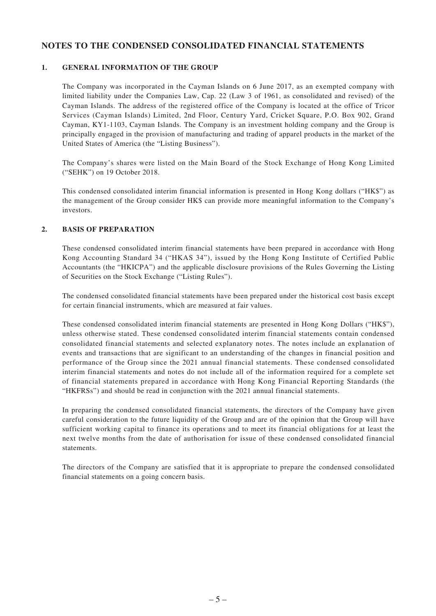#### **NOTES TO THE CONDENSED CONSOLIDATED FINANCIAL STATEMENTS**

#### **1. GENERAL INFORMATION OF THE GROUP**

The Company was incorporated in the Cayman Islands on 6 June 2017, as an exempted company with limited liability under the Companies Law, Cap. 22 (Law 3 of 1961, as consolidated and revised) of the Cayman Islands. The address of the registered office of the Company is located at the office of Tricor Services (Cayman Islands) Limited, 2nd Floor, Century Yard, Cricket Square, P.O. Box 902, Grand Cayman, KY1-1103, Cayman Islands. The Company is an investment holding company and the Group is principally engaged in the provision of manufacturing and trading of apparel products in the market of the United States of America (the "Listing Business").

The Company's shares were listed on the Main Board of the Stock Exchange of Hong Kong Limited ("SEHK") on 19 October 2018.

This condensed consolidated interim financial information is presented in Hong Kong dollars ("HK\$") as the management of the Group consider HK\$ can provide more meaningful information to the Company's investors.

#### **2. BASIS OF PREPARATION**

These condensed consolidated interim financial statements have been prepared in accordance with Hong Kong Accounting Standard 34 ("HKAS 34"), issued by the Hong Kong Institute of Certified Public Accountants (the "HKICPA") and the applicable disclosure provisions of the Rules Governing the Listing of Securities on the Stock Exchange ("Listing Rules").

The condensed consolidated financial statements have been prepared under the historical cost basis except for certain financial instruments, which are measured at fair values.

These condensed consolidated interim financial statements are presented in Hong Kong Dollars ("HK\$"), unless otherwise stated. These condensed consolidated interim financial statements contain condensed consolidated financial statements and selected explanatory notes. The notes include an explanation of events and transactions that are significant to an understanding of the changes in financial position and performance of the Group since the 2021 annual financial statements. These condensed consolidated interim financial statements and notes do not include all of the information required for a complete set of financial statements prepared in accordance with Hong Kong Financial Reporting Standards (the "HKFRSs") and should be read in conjunction with the 2021 annual financial statements.

In preparing the condensed consolidated financial statements, the directors of the Company have given careful consideration to the future liquidity of the Group and are of the opinion that the Group will have sufficient working capital to finance its operations and to meet its financial obligations for at least the next twelve months from the date of authorisation for issue of these condensed consolidated financial statements.

The directors of the Company are satisfied that it is appropriate to prepare the condensed consolidated financial statements on a going concern basis.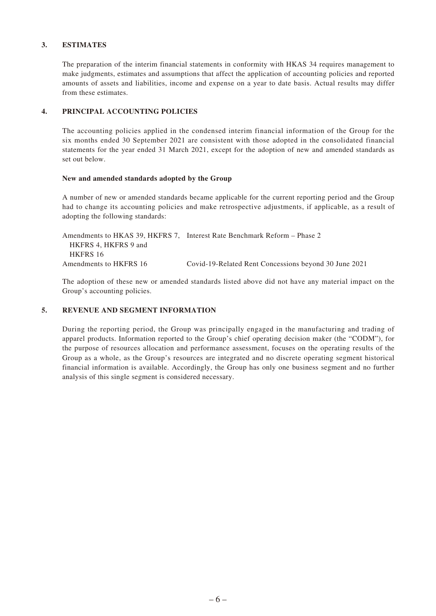#### **3. ESTIMATES**

The preparation of the interim financial statements in conformity with HKAS 34 requires management to make judgments, estimates and assumptions that affect the application of accounting policies and reported amounts of assets and liabilities, income and expense on a year to date basis. Actual results may differ from these estimates.

#### **4. PRINCIPAL ACCOUNTING POLICIES**

The accounting policies applied in the condensed interim financial information of the Group for the six months ended 30 September 2021 are consistent with those adopted in the consolidated financial statements for the year ended 31 March 2021, except for the adoption of new and amended standards as set out below.

#### **New and amended standards adopted by the Group**

A number of new or amended standards became applicable for the current reporting period and the Group had to change its accounting policies and make retrospective adjustments, if applicable, as a result of adopting the following standards:

Amendments to HKAS 39, HKFRS 7, Interest Rate Benchmark Reform – Phase 2 HKFRS 4, HKFRS 9 and HKFRS 16 Amendments to HKFRS 16 Covid-19-Related Rent Concessions beyond 30 June 2021

The adoption of these new or amended standards listed above did not have any material impact on the Group's accounting policies.

#### **5. REVENUE AND SEGMENT INFORMATION**

During the reporting period, the Group was principally engaged in the manufacturing and trading of apparel products. Information reported to the Group's chief operating decision maker (the "CODM"), for the purpose of resources allocation and performance assessment, focuses on the operating results of the Group as a whole, as the Group's resources are integrated and no discrete operating segment historical financial information is available. Accordingly, the Group has only one business segment and no further analysis of this single segment is considered necessary.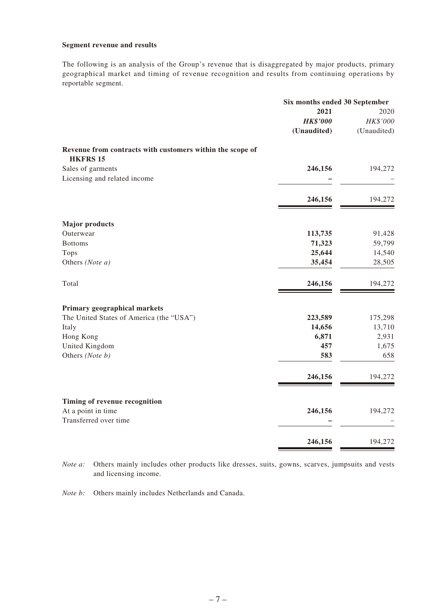#### **Segment revenue and results**

The following is an analysis of the Group's revenue that is disaggregated by major products, primary geographical market and timing of revenue recognition and results from continuing operations by reportable segment.

|                                                                              | Six months ended 30 September |             |
|------------------------------------------------------------------------------|-------------------------------|-------------|
|                                                                              | 2021                          | 2020        |
|                                                                              | <b>HK\$'000</b>               | HK\$'000    |
|                                                                              | (Unaudited)                   | (Unaudited) |
| Revenue from contracts with customers within the scope of<br><b>HKFRS 15</b> |                               |             |
| Sales of garments                                                            | 246,156                       | 194,272     |
| Licensing and related income                                                 |                               |             |
|                                                                              | 246,156                       | 194,272     |
| <b>Major products</b>                                                        |                               |             |
| Outerwear                                                                    | 113,735                       | 91,428      |
| <b>Bottoms</b>                                                               | 71,323                        | 59,799      |
| <b>Tops</b>                                                                  | 25,644                        | 14,540      |
| Others (Note a)                                                              | 35,454                        | 28,505      |
| Total                                                                        | 246,156                       | 194,272     |
| Primary geographical markets                                                 |                               |             |
| The United States of America (the "USA")                                     | 223,589                       | 175,298     |
| Italy                                                                        | 14,656                        | 13,710      |
| Hong Kong                                                                    | 6,871                         | 2,931       |
| United Kingdom                                                               | 457                           | 1,675       |
| Others (Note b)                                                              | 583                           | 658         |
|                                                                              | 246,156                       | 194,272     |
| Timing of revenue recognition                                                |                               |             |
| At a point in time                                                           | 246,156                       | 194,272     |
| Transferred over time                                                        |                               |             |
|                                                                              | 246,156                       | 194,272     |
|                                                                              |                               |             |

*Note a:* Others mainly includes other products like dresses, suits, gowns, scarves, jumpsuits and vests and licensing income.

*Note b:* Others mainly includes Netherlands and Canada.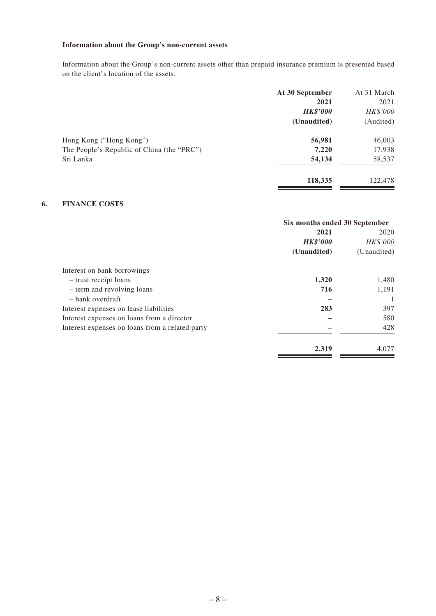### **Information about the Group's non-current assets**

Information about the Group's non-current assets other than prepaid insurance premium is presented based on the client's location of the assets:

|                                            | At 30 September | At 31 March |
|--------------------------------------------|-----------------|-------------|
|                                            | 2021            | 2021        |
|                                            | <b>HK\$'000</b> | HK\$'000    |
|                                            | (Unaudited)     | (Audited)   |
| Hong Kong ("Hong Kong")                    | 56,981          | 46,003      |
| The People's Republic of China (the "PRC") | 7,220           | 17,938      |
| Sri Lanka                                  | 54,134          | 58,537      |
|                                            | 118,335         | 122,478     |
|                                            |                 |             |

#### **6. FINANCE COSTS**

|                                                 | Six months ended 30 September |             |
|-------------------------------------------------|-------------------------------|-------------|
|                                                 | 2021                          | 2020        |
|                                                 | <b>HK\$'000</b>               | HK\$'000    |
|                                                 | (Unaudited)                   | (Unaudited) |
| Interest on bank borrowings                     |                               |             |
| - trust receipt loans                           | 1,320                         | 1,480       |
| - term and revolving loans                      | 716                           | 1,191       |
| - bank overdraft                                |                               |             |
| Interest expenses on lease liabilities          | 283                           | 397         |
| Interest expenses on loans from a director      |                               | 580         |
| Interest expenses on loans from a related party |                               | 428         |
|                                                 | 2,319                         | 4,077       |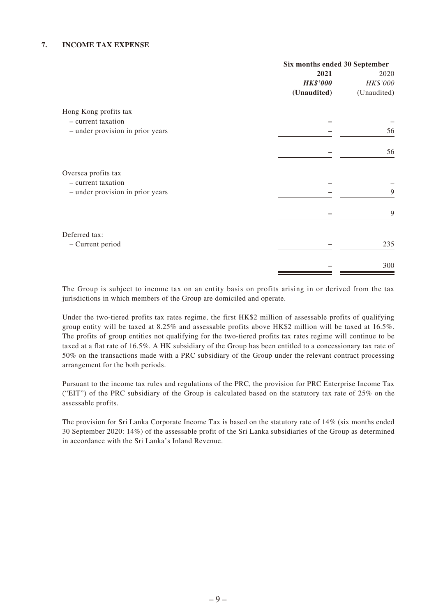#### **7. INCOME TAX EXPENSE**

|                                  | Six months ended 30 September |             |
|----------------------------------|-------------------------------|-------------|
|                                  | 2021                          | 2020        |
|                                  | <b>HK\$'000</b>               | HK\$'000    |
|                                  | (Unaudited)                   | (Unaudited) |
| Hong Kong profits tax            |                               |             |
| - current taxation               |                               |             |
| - under provision in prior years |                               | 56          |
|                                  |                               | 56          |
| Oversea profits tax              |                               |             |
| - current taxation               |                               |             |
| - under provision in prior years |                               | 9           |
|                                  |                               | 9           |
| Deferred tax:                    |                               |             |
| - Current period                 |                               | 235         |
|                                  |                               | 300         |

The Group is subject to income tax on an entity basis on profits arising in or derived from the tax jurisdictions in which members of the Group are domiciled and operate.

Under the two-tiered profits tax rates regime, the first HK\$2 million of assessable profits of qualifying group entity will be taxed at 8.25% and assessable profits above HK\$2 million will be taxed at 16.5%. The profits of group entities not qualifying for the two-tiered profits tax rates regime will continue to be taxed at a flat rate of 16.5%. A HK subsidiary of the Group has been entitled to a concessionary tax rate of 50% on the transactions made with a PRC subsidiary of the Group under the relevant contract processing arrangement for the both periods.

Pursuant to the income tax rules and regulations of the PRC, the provision for PRC Enterprise Income Tax ("EIT") of the PRC subsidiary of the Group is calculated based on the statutory tax rate of 25% on the assessable profits.

The provision for Sri Lanka Corporate Income Tax is based on the statutory rate of 14% (six months ended 30 September 2020: 14%) of the assessable profit of the Sri Lanka subsidiaries of the Group as determined in accordance with the Sri Lanka's Inland Revenue.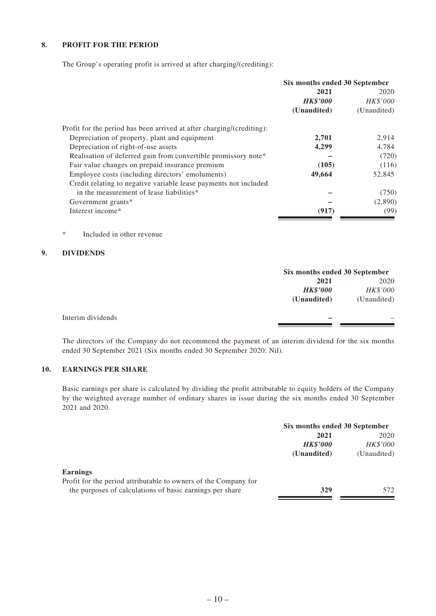#### **8. PROFIT FOR THE PERIOD**

The Group's operating profit is arrived at after charging/(crediting):

|                                                                       | Six months ended 30 September |                 |
|-----------------------------------------------------------------------|-------------------------------|-----------------|
|                                                                       | 2021                          | 2020            |
|                                                                       | <b>HK\$'000</b>               | <b>HK\$'000</b> |
|                                                                       | (Unaudited)                   | (Unaudited)     |
| Profit for the period has been arrived at after charging/(crediting): |                               |                 |
| Depreciation of property, plant and equipment                         | 2,701                         | 2,914           |
| Depreciation of right-of-use assets                                   | 4,299                         | 4,784           |
| Realisation of deferred gain from convertible promissory note*        |                               | (720)           |
| Fair value changes on prepaid insurance premium                       | (105)                         | (116)           |
| Employee costs (including directors' emoluments)                      | 49,664                        | 52,845          |
| Credit relating to negative variable lease payments not included      |                               |                 |
| in the measurement of lease liabilities*                              |                               | (750)           |
| Government grants*                                                    |                               | (2,890)         |
| Interest income*                                                      | (917)                         | (99)            |

\* Included in other revenue

#### **9. DIVIDENDS**

|                   |                 | Six months ended 30 September |  |
|-------------------|-----------------|-------------------------------|--|
|                   | 2021            | 2020                          |  |
|                   | <b>HK\$'000</b> | HK\$'000                      |  |
|                   | (Unaudited)     | (Unaudited)                   |  |
| Interim dividends |                 |                               |  |
|                   |                 |                               |  |

The directors of the Company do not recommend the payment of an interim dividend for the six months ended 30 September 2021 (Six months ended 30 September 2020: Nil).

#### **10. EARNINGS PER SHARE**

Basic earnings per share is calculated by dividing the profit attributable to equity holders of the Company by the weighted average number of ordinary shares in issue during the six months ended 30 September 2021 and 2020.

|                                                                 | Six months ended 30 September |                 |
|-----------------------------------------------------------------|-------------------------------|-----------------|
|                                                                 | 2021                          | 2020            |
|                                                                 | <b>HK\$'000</b>               | <b>HK\$'000</b> |
|                                                                 | (Unaudited)                   | (Unaudited)     |
| <b>Earnings</b>                                                 |                               |                 |
| Profit for the period attributable to owners of the Company for |                               |                 |
| the purposes of calculations of basic earnings per share        | 329                           | 572             |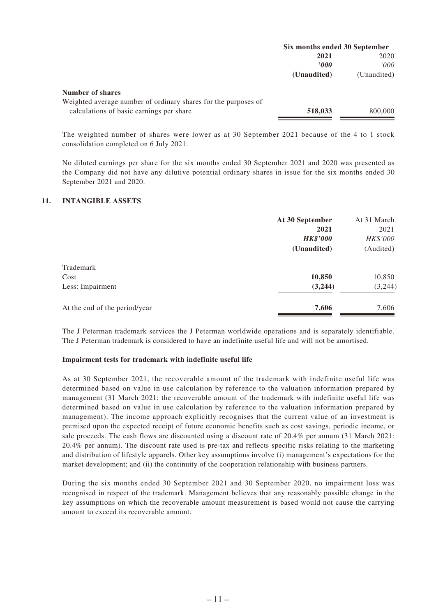|                                                                | Six months ended 30 September |             |
|----------------------------------------------------------------|-------------------------------|-------------|
|                                                                | 2021                          | 2020        |
|                                                                | 2000                          | '000'       |
|                                                                | (Unaudited)                   | (Unaudited) |
| Number of shares                                               |                               |             |
| Weighted average number of ordinary shares for the purposes of |                               |             |
| calculations of basic earnings per share                       | 518,033                       | 800,000     |

The weighted number of shares were lower as at 30 September 2021 because of the 4 to 1 stock consolidation completed on 6 July 2021.

No diluted earnings per share for the six months ended 30 September 2021 and 2020 was presented as the Company did not have any dilutive potential ordinary shares in issue for the six months ended 30 September 2021 and 2020.

#### **11. INTANGIBLE ASSETS**

|                               | At 30 September | At 31 March |
|-------------------------------|-----------------|-------------|
|                               | 2021            | 2021        |
|                               | <b>HK\$'000</b> | HK\$'000    |
|                               | (Unaudited)     | (Audited)   |
| Trademark                     |                 |             |
| Cost                          | 10,850          | 10,850      |
| Less: Impairment              | (3,244)         | (3,244)     |
| At the end of the period/year | 7,606           | 7,606       |

The J Peterman trademark services the J Peterman worldwide operations and is separately identifiable. The J Peterman trademark is considered to have an indefinite useful life and will not be amortised.

#### **Impairment tests for trademark with indefinite useful life**

As at 30 September 2021, the recoverable amount of the trademark with indefinite useful life was determined based on value in use calculation by reference to the valuation information prepared by management (31 March 2021: the recoverable amount of the trademark with indefinite useful life was determined based on value in use calculation by reference to the valuation information prepared by management). The income approach explicitly recognises that the current value of an investment is premised upon the expected receipt of future economic benefits such as cost savings, periodic income, or sale proceeds. The cash flows are discounted using a discount rate of 20.4% per annum (31 March 2021: 20.4% per annum). The discount rate used is pre-tax and reflects specific risks relating to the marketing and distribution of lifestyle apparels. Other key assumptions involve (i) management's expectations for the market development; and (ii) the continuity of the cooperation relationship with business partners.

During the six months ended 30 September 2021 and 30 September 2020, no impairment loss was recognised in respect of the trademark. Management believes that any reasonably possible change in the key assumptions on which the recoverable amount measurement is based would not cause the carrying amount to exceed its recoverable amount.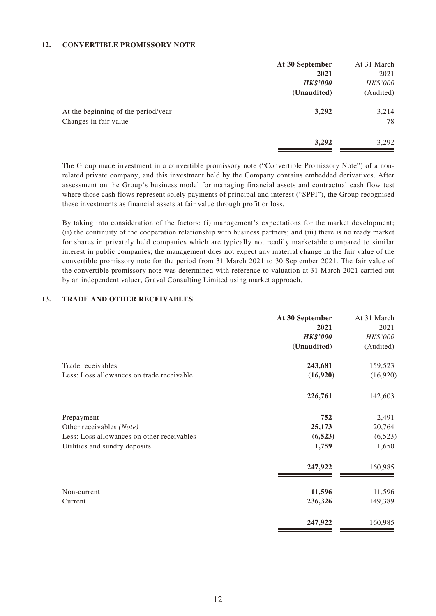#### **12. CONVERTIBLE PROMISSORY NOTE**

|                                     | At 30 September | At 31 March |
|-------------------------------------|-----------------|-------------|
|                                     | 2021            | 2021        |
|                                     | <b>HK\$'000</b> | HK\$'000    |
|                                     | (Unaudited)     | (Audited)   |
| At the beginning of the period/year | 3,292           | 3,214       |
| Changes in fair value               |                 | 78          |
|                                     | 3,292           | 3,292       |

The Group made investment in a convertible promissory note ("Convertible Promissory Note") of a nonrelated private company, and this investment held by the Company contains embedded derivatives. After assessment on the Group's business model for managing financial assets and contractual cash flow test where those cash flows represent solely payments of principal and interest ("SPPI"), the Group recognised these investments as financial assets at fair value through profit or loss.

By taking into consideration of the factors: (i) management's expectations for the market development; (ii) the continuity of the cooperation relationship with business partners; and (iii) there is no ready market for shares in privately held companies which are typically not readily marketable compared to similar interest in public companies; the management does not expect any material change in the fair value of the convertible promissory note for the period from 31 March 2021 to 30 September 2021. The fair value of the convertible promissory note was determined with reference to valuation at 31 March 2021 carried out by an independent valuer, Graval Consulting Limited using market approach.

#### **13. TRADE AND OTHER RECEIVABLES**

|                                            | At 30 September | At 31 March |
|--------------------------------------------|-----------------|-------------|
|                                            | 2021            | 2021        |
|                                            | <b>HK\$'000</b> | HK\$'000    |
|                                            | (Unaudited)     | (Audited)   |
| Trade receivables                          | 243,681         | 159,523     |
| Less: Loss allowances on trade receivable  | (16,920)        | (16,920)    |
|                                            | 226,761         | 142,603     |
| Prepayment                                 | 752             | 2,491       |
| Other receivables (Note)                   | 25,173          | 20,764      |
| Less: Loss allowances on other receivables | (6, 523)        | (6, 523)    |
| Utilities and sundry deposits              | 1,759           | 1,650       |
|                                            | 247,922         | 160,985     |
| Non-current                                | 11,596          | 11,596      |
| Current                                    | 236,326         | 149,389     |
|                                            | 247,922         | 160,985     |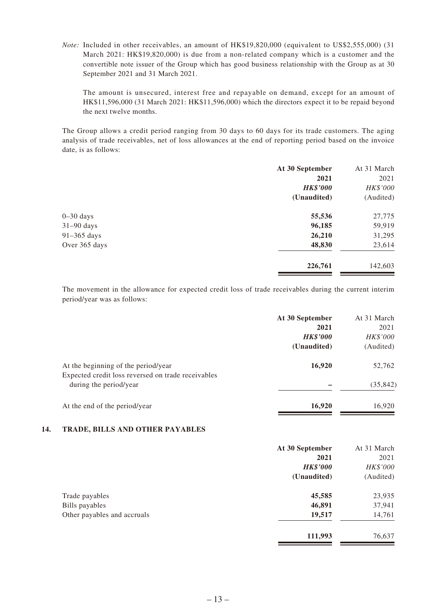*Note:* Included in other receivables, an amount of HK\$19,820,000 (equivalent to US\$2,555,000) (31 March 2021: HK\$19,820,000) is due from a non-related company which is a customer and the convertible note issuer of the Group which has good business relationship with the Group as at 30 September 2021 and 31 March 2021.

The amount is unsecured, interest free and repayable on demand, except for an amount of HK\$11,596,000 (31 March 2021: HK\$11,596,000) which the directors expect it to be repaid beyond the next twelve months.

The Group allows a credit period ranging from 30 days to 60 days for its trade customers. The aging analysis of trade receivables, net of loss allowances at the end of reporting period based on the invoice date, is as follows:

| At 30 September | At 31 March |
|-----------------|-------------|
| 2021            | 2021        |
| <b>HK\$'000</b> | HK\$'000    |
| (Unaudited)     | (Audited)   |
| 55,536          | 27,775      |
| 96,185          | 59,919      |
| 26,210          | 31,295      |
| 48,830          | 23,614      |
| 226,761         | 142,603     |
|                 |             |

The movement in the allowance for expected credit loss of trade receivables during the current interim period/year was as follows:

|                                                                                           | At 30 September | At 31 March |
|-------------------------------------------------------------------------------------------|-----------------|-------------|
|                                                                                           | 2021            | 2021        |
|                                                                                           | <b>HK\$'000</b> | HK\$'000    |
|                                                                                           | (Unaudited)     | (Audited)   |
| At the beginning of the period/year<br>Expected credit loss reversed on trade receivables | 16,920          | 52,762      |
| during the period/year                                                                    |                 | (35, 842)   |
| At the end of the period/year                                                             | 16,920          | 16,920      |

#### **14. TRADE, BILLS AND OTHER PAYABLES**

|                             | At 30 September | At 31 March |
|-----------------------------|-----------------|-------------|
|                             | 2021            | 2021        |
|                             | <b>HK\$'000</b> | HK\$'000    |
|                             | (Unaudited)     | (Audited)   |
| Trade payables              | 45,585          | 23,935      |
| Bills payables              | 46,891          | 37,941      |
| Other payables and accruals | 19,517          | 14,761      |
|                             | 111,993         | 76,637      |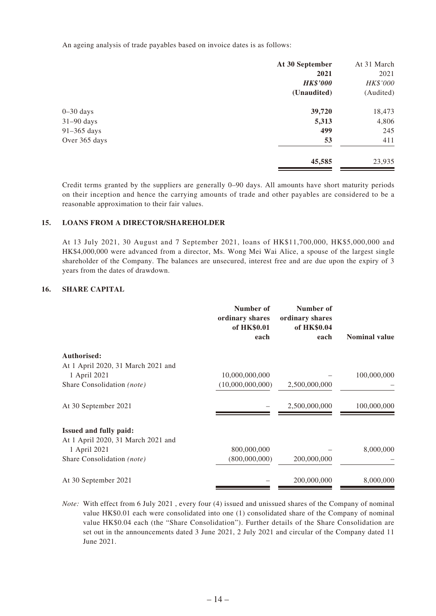An ageing analysis of trade payables based on invoice dates is as follows:

|               | At 30 September | At 31 March |
|---------------|-----------------|-------------|
|               | 2021            | 2021        |
|               | <b>HK\$'000</b> | HK\$'000    |
|               | (Unaudited)     | (Audited)   |
| $0 - 30$ days | 39,720          | 18,473      |
| $31-90$ days  | 5,313           | 4,806       |
| 91–365 days   | 499             | 245         |
| Over 365 days | 53              | 411         |
|               | 45,585          | 23,935      |

Credit terms granted by the suppliers are generally 0–90 days. All amounts have short maturity periods on their inception and hence the carrying amounts of trade and other payables are considered to be a reasonable approximation to their fair values.

#### **15. LOANS FROM A DIRECTOR/SHAREHOLDER**

At 13 July 2021, 30 August and 7 September 2021, loans of HK\$11,700,000, HK\$5,000,000 and HK\$4,000,000 were advanced from a director, Ms. Wong Mei Wai Alice, a spouse of the largest single shareholder of the Company. The balances are unsecured, interest free and are due upon the expiry of 3 years from the dates of drawdown.

#### **16. SHARE CAPITAL**

|                                    | Number of<br>ordinary shares<br>of HK\$0.01<br>each | Number of<br>ordinary shares<br>of HK\$0.04<br>each | <b>Nominal value</b> |
|------------------------------------|-----------------------------------------------------|-----------------------------------------------------|----------------------|
| Authorised:                        |                                                     |                                                     |                      |
| At 1 April 2020, 31 March 2021 and |                                                     |                                                     |                      |
| 1 April 2021                       | 10,000,000,000                                      |                                                     | 100,000,000          |
| Share Consolidation (note)         | (10,000,000,000)                                    | 2,500,000,000                                       |                      |
| At 30 September 2021               |                                                     | 2,500,000,000                                       | 100,000,000          |
| <b>Issued and fully paid:</b>      |                                                     |                                                     |                      |
| At 1 April 2020, 31 March 2021 and |                                                     |                                                     |                      |
| 1 April 2021                       | 800,000,000                                         |                                                     | 8,000,000            |
| Share Consolidation (note)         | (800,000,000)                                       | 200,000,000                                         |                      |
| At 30 September 2021               |                                                     | 200,000,000                                         | 8,000,000            |

*Note:* With effect from 6 July 2021 , every four (4) issued and unissued shares of the Company of nominal value HK\$0.01 each were consolidated into one (1) consolidated share of the Company of nominal value HK\$0.04 each (the "Share Consolidation"). Further details of the Share Consolidation are set out in the announcements dated 3 June 2021, 2 July 2021 and circular of the Company dated 11 June 2021.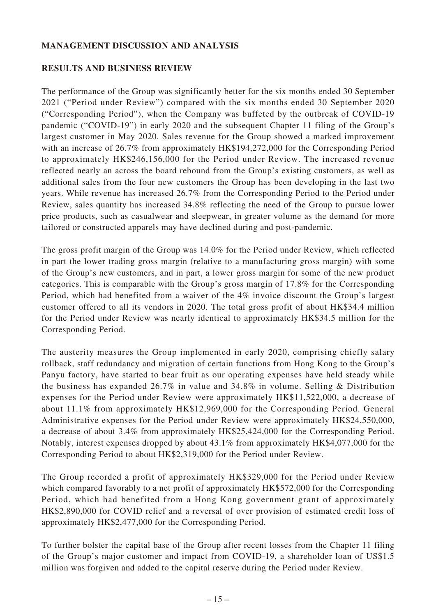### **MANAGEMENT DISCUSSION AND ANALYSIS**

### **RESULTS AND BUSINESS REVIEW**

The performance of the Group was significantly better for the six months ended 30 September 2021 ("Period under Review") compared with the six months ended 30 September 2020 ("Corresponding Period"), when the Company was buffeted by the outbreak of COVID-19 pandemic ("COVID-19") in early 2020 and the subsequent Chapter 11 filing of the Group's largest customer in May 2020. Sales revenue for the Group showed a marked improvement with an increase of 26.7% from approximately HK\$194,272,000 for the Corresponding Period to approximately HK\$246,156,000 for the Period under Review. The increased revenue reflected nearly an across the board rebound from the Group's existing customers, as well as additional sales from the four new customers the Group has been developing in the last two years. While revenue has increased 26.7% from the Corresponding Period to the Period under Review, sales quantity has increased 34.8% reflecting the need of the Group to pursue lower price products, such as casualwear and sleepwear, in greater volume as the demand for more tailored or constructed apparels may have declined during and post-pandemic.

The gross profit margin of the Group was 14.0% for the Period under Review, which reflected in part the lower trading gross margin (relative to a manufacturing gross margin) with some of the Group's new customers, and in part, a lower gross margin for some of the new product categories. This is comparable with the Group's gross margin of 17.8% for the Corresponding Period, which had benefited from a waiver of the 4% invoice discount the Group's largest customer offered to all its vendors in 2020. The total gross profit of about HK\$34.4 million for the Period under Review was nearly identical to approximately HK\$34.5 million for the Corresponding Period.

The austerity measures the Group implemented in early 2020, comprising chiefly salary rollback, staff redundancy and migration of certain functions from Hong Kong to the Group's Panyu factory, have started to bear fruit as our operating expenses have held steady while the business has expanded 26.7% in value and 34.8% in volume. Selling & Distribution expenses for the Period under Review were approximately HK\$11,522,000, a decrease of about 11.1% from approximately HK\$12,969,000 for the Corresponding Period. General Administrative expenses for the Period under Review were approximately HK\$24,550,000, a decrease of about 3.4% from approximately HK\$25,424,000 for the Corresponding Period. Notably, interest expenses dropped by about 43.1% from approximately HK\$4,077,000 for the Corresponding Period to about HK\$2,319,000 for the Period under Review.

The Group recorded a profit of approximately HK\$329,000 for the Period under Review which compared favorably to a net profit of approximately HK\$572,000 for the Corresponding Period, which had benefited from a Hong Kong government grant of approximately HK\$2,890,000 for COVID relief and a reversal of over provision of estimated credit loss of approximately HK\$2,477,000 for the Corresponding Period.

To further bolster the capital base of the Group after recent losses from the Chapter 11 filing of the Group's major customer and impact from COVID-19, a shareholder loan of US\$1.5 million was forgiven and added to the capital reserve during the Period under Review.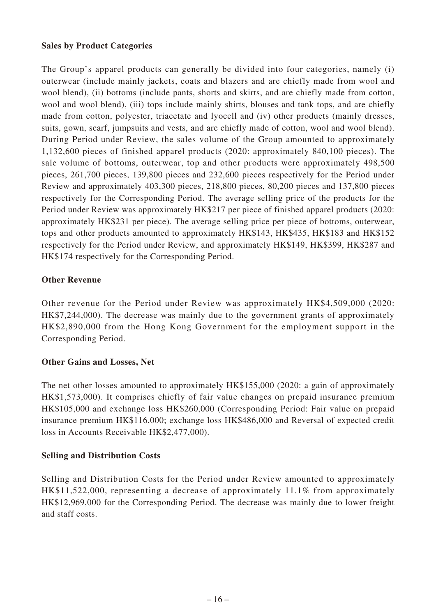### **Sales by Product Categories**

The Group's apparel products can generally be divided into four categories, namely (i) outerwear (include mainly jackets, coats and blazers and are chiefly made from wool and wool blend), (ii) bottoms (include pants, shorts and skirts, and are chiefly made from cotton, wool and wool blend), (iii) tops include mainly shirts, blouses and tank tops, and are chiefly made from cotton, polyester, triacetate and lyocell and (iv) other products (mainly dresses, suits, gown, scarf, jumpsuits and vests, and are chiefly made of cotton, wool and wool blend). During Period under Review, the sales volume of the Group amounted to approximately 1,132,600 pieces of finished apparel products (2020: approximately 840,100 pieces). The sale volume of bottoms, outerwear, top and other products were approximately 498,500 pieces, 261,700 pieces, 139,800 pieces and 232,600 pieces respectively for the Period under Review and approximately 403,300 pieces, 218,800 pieces, 80,200 pieces and 137,800 pieces respectively for the Corresponding Period. The average selling price of the products for the Period under Review was approximately HK\$217 per piece of finished apparel products (2020: approximately HK\$231 per piece). The average selling price per piece of bottoms, outerwear, tops and other products amounted to approximately HK\$143, HK\$435, HK\$183 and HK\$152 respectively for the Period under Review, and approximately HK\$149, HK\$399, HK\$287 and HK\$174 respectively for the Corresponding Period.

### **Other Revenue**

Other revenue for the Period under Review was approximately HK\$4,509,000 (2020: HK\$7,244,000). The decrease was mainly due to the government grants of approximately HK\$2,890,000 from the Hong Kong Government for the employment support in the Corresponding Period.

### **Other Gains and Losses, Net**

The net other losses amounted to approximately HK\$155,000 (2020: a gain of approximately HK\$1,573,000). It comprises chiefly of fair value changes on prepaid insurance premium HK\$105,000 and exchange loss HK\$260,000 (Corresponding Period: Fair value on prepaid insurance premium HK\$116,000; exchange loss HK\$486,000 and Reversal of expected credit loss in Accounts Receivable HK\$2,477,000).

### **Selling and Distribution Costs**

Selling and Distribution Costs for the Period under Review amounted to approximately HK\$11,522,000, representing a decrease of approximately 11.1% from approximately HK\$12,969,000 for the Corresponding Period. The decrease was mainly due to lower freight and staff costs.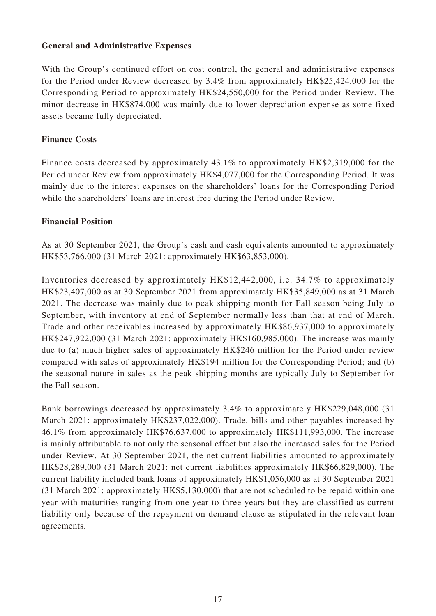### **General and Administrative Expenses**

With the Group's continued effort on cost control, the general and administrative expenses for the Period under Review decreased by 3.4% from approximately HK\$25,424,000 for the Corresponding Period to approximately HK\$24,550,000 for the Period under Review. The minor decrease in HK\$874,000 was mainly due to lower depreciation expense as some fixed assets became fully depreciated.

### **Finance Costs**

Finance costs decreased by approximately 43.1% to approximately HK\$2,319,000 for the Period under Review from approximately HK\$4,077,000 for the Corresponding Period. It was mainly due to the interest expenses on the shareholders' loans for the Corresponding Period while the shareholders' loans are interest free during the Period under Review.

#### **Financial Position**

As at 30 September 2021, the Group's cash and cash equivalents amounted to approximately HK\$53,766,000 (31 March 2021: approximately HK\$63,853,000).

Inventories decreased by approximately HK\$12,442,000, i.e. 34.7% to approximately HK\$23,407,000 as at 30 September 2021 from approximately HK\$35,849,000 as at 31 March 2021. The decrease was mainly due to peak shipping month for Fall season being July to September, with inventory at end of September normally less than that at end of March. Trade and other receivables increased by approximately HK\$86,937,000 to approximately HK\$247,922,000 (31 March 2021: approximately HK\$160,985,000). The increase was mainly due to (a) much higher sales of approximately HK\$246 million for the Period under review compared with sales of approximately HK\$194 million for the Corresponding Period; and (b) the seasonal nature in sales as the peak shipping months are typically July to September for the Fall season.

Bank borrowings decreased by approximately 3.4% to approximately HK\$229,048,000 (31 March 2021: approximately HK\$237,022,000). Trade, bills and other payables increased by 46.1% from approximately HK\$76,637,000 to approximately HK\$111,993,000. The increase is mainly attributable to not only the seasonal effect but also the increased sales for the Period under Review. At 30 September 2021, the net current liabilities amounted to approximately HK\$28,289,000 (31 March 2021: net current liabilities approximately HK\$66,829,000). The current liability included bank loans of approximately HK\$1,056,000 as at 30 September 2021 (31 March 2021: approximately HK\$5,130,000) that are not scheduled to be repaid within one year with maturities ranging from one year to three years but they are classified as current liability only because of the repayment on demand clause as stipulated in the relevant loan agreements.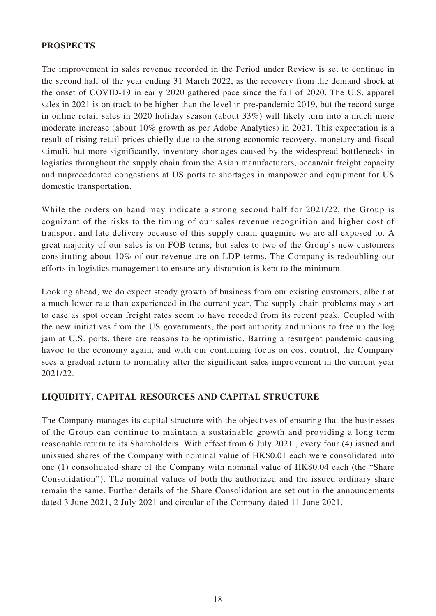### **PROSPECTS**

The improvement in sales revenue recorded in the Period under Review is set to continue in the second half of the year ending 31 March 2022, as the recovery from the demand shock at the onset of COVID-19 in early 2020 gathered pace since the fall of 2020. The U.S. apparel sales in 2021 is on track to be higher than the level in pre-pandemic 2019, but the record surge in online retail sales in 2020 holiday season (about 33%) will likely turn into a much more moderate increase (about 10% growth as per Adobe Analytics) in 2021. This expectation is a result of rising retail prices chiefly due to the strong economic recovery, monetary and fiscal stimuli, but more significantly, inventory shortages caused by the widespread bottlenecks in logistics throughout the supply chain from the Asian manufacturers, ocean/air freight capacity and unprecedented congestions at US ports to shortages in manpower and equipment for US domestic transportation.

While the orders on hand may indicate a strong second half for 2021/22, the Group is cognizant of the risks to the timing of our sales revenue recognition and higher cost of transport and late delivery because of this supply chain quagmire we are all exposed to. A great majority of our sales is on FOB terms, but sales to two of the Group's new customers constituting about 10% of our revenue are on LDP terms. The Company is redoubling our efforts in logistics management to ensure any disruption is kept to the minimum.

Looking ahead, we do expect steady growth of business from our existing customers, albeit at a much lower rate than experienced in the current year. The supply chain problems may start to ease as spot ocean freight rates seem to have receded from its recent peak. Coupled with the new initiatives from the US governments, the port authority and unions to free up the log jam at U.S. ports, there are reasons to be optimistic. Barring a resurgent pandemic causing havoc to the economy again, and with our continuing focus on cost control, the Company sees a gradual return to normality after the significant sales improvement in the current year 2021/22.

### **LIQUIDITY, CAPITAL RESOURCES AND CAPITAL STRUCTURE**

The Company manages its capital structure with the objectives of ensuring that the businesses of the Group can continue to maintain a sustainable growth and providing a long term reasonable return to its Shareholders. With effect from 6 July 2021 , every four (4) issued and unissued shares of the Company with nominal value of HK\$0.01 each were consolidated into one (1) consolidated share of the Company with nominal value of HK\$0.04 each (the "Share Consolidation"). The nominal values of both the authorized and the issued ordinary share remain the same. Further details of the Share Consolidation are set out in the announcements dated 3 June 2021, 2 July 2021 and circular of the Company dated 11 June 2021.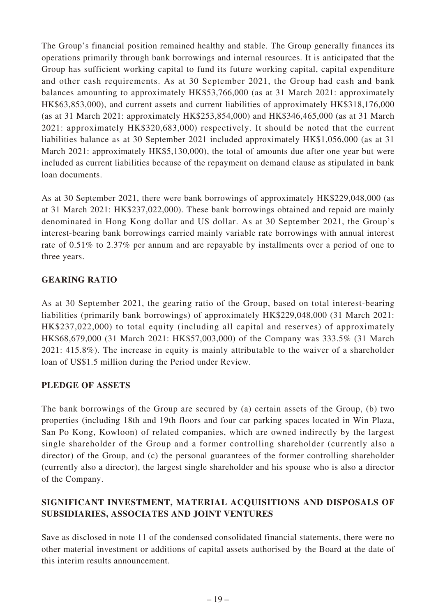The Group's financial position remained healthy and stable. The Group generally finances its operations primarily through bank borrowings and internal resources. It is anticipated that the Group has sufficient working capital to fund its future working capital, capital expenditure and other cash requirements. As at 30 September 2021, the Group had cash and bank balances amounting to approximately HK\$53,766,000 (as at 31 March 2021: approximately HK\$63,853,000), and current assets and current liabilities of approximately HK\$318,176,000 (as at 31 March 2021: approximately HK\$253,854,000) and HK\$346,465,000 (as at 31 March 2021: approximately HK\$320,683,000) respectively. It should be noted that the current liabilities balance as at 30 September 2021 included approximately HK\$1,056,000 (as at 31 March 2021: approximately HK\$5,130,000), the total of amounts due after one year but were included as current liabilities because of the repayment on demand clause as stipulated in bank loan documents.

As at 30 September 2021, there were bank borrowings of approximately HK\$229,048,000 (as at 31 March 2021: HK\$237,022,000). These bank borrowings obtained and repaid are mainly denominated in Hong Kong dollar and US dollar. As at 30 September 2021, the Group's interest-bearing bank borrowings carried mainly variable rate borrowings with annual interest rate of 0.51% to 2.37% per annum and are repayable by installments over a period of one to three years.

## **GEARING RATIO**

As at 30 September 2021, the gearing ratio of the Group, based on total interest-bearing liabilities (primarily bank borrowings) of approximately HK\$229,048,000 (31 March 2021: HK\$237,022,000) to total equity (including all capital and reserves) of approximately HK\$68,679,000 (31 March 2021: HK\$57,003,000) of the Company was 333.5% (31 March 2021: 415.8%). The increase in equity is mainly attributable to the waiver of a shareholder loan of US\$1.5 million during the Period under Review.

### **PLEDGE OF ASSETS**

The bank borrowings of the Group are secured by (a) certain assets of the Group, (b) two properties (including 18th and 19th floors and four car parking spaces located in Win Plaza, San Po Kong, Kowloon) of related companies, which are owned indirectly by the largest single shareholder of the Group and a former controlling shareholder (currently also a director) of the Group, and (c) the personal guarantees of the former controlling shareholder (currently also a director), the largest single shareholder and his spouse who is also a director of the Company.

## **SIGNIFICANT INVESTMENT, MATERIAL ACQUISITIONS AND DISPOSALS OF SUBSIDIARIES, ASSOCIATES AND JOINT VENTURES**

Save as disclosed in note 11 of the condensed consolidated financial statements, there were no other material investment or additions of capital assets authorised by the Board at the date of this interim results announcement.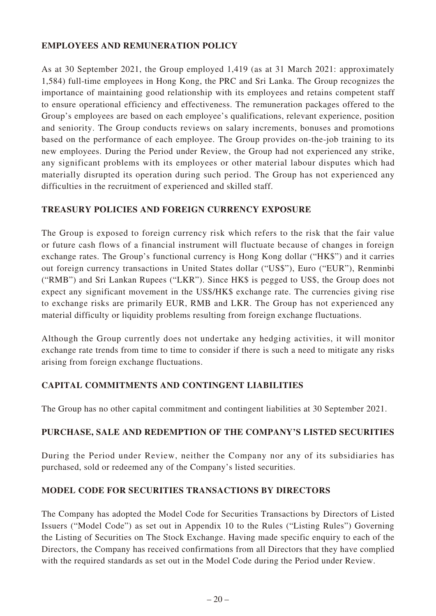### **EMPLOYEES AND REMUNERATION POLICY**

As at 30 September 2021, the Group employed 1,419 (as at 31 March 2021: approximately 1,584) full-time employees in Hong Kong, the PRC and Sri Lanka. The Group recognizes the importance of maintaining good relationship with its employees and retains competent staff to ensure operational efficiency and effectiveness. The remuneration packages offered to the Group's employees are based on each employee's qualifications, relevant experience, position and seniority. The Group conducts reviews on salary increments, bonuses and promotions based on the performance of each employee. The Group provides on-the-job training to its new employees. During the Period under Review, the Group had not experienced any strike, any significant problems with its employees or other material labour disputes which had materially disrupted its operation during such period. The Group has not experienced any difficulties in the recruitment of experienced and skilled staff.

### **TREASURY POLICIES AND FOREIGN CURRENCY EXPOSURE**

The Group is exposed to foreign currency risk which refers to the risk that the fair value or future cash flows of a financial instrument will fluctuate because of changes in foreign exchange rates. The Group's functional currency is Hong Kong dollar ("HK\$") and it carries out foreign currency transactions in United States dollar ("US\$"), Euro ("EUR"), Renminbi ("RMB") and Sri Lankan Rupees ("LKR"). Since HK\$ is pegged to US\$, the Group does not expect any significant movement in the US\$/HK\$ exchange rate. The currencies giving rise to exchange risks are primarily EUR, RMB and LKR. The Group has not experienced any material difficulty or liquidity problems resulting from foreign exchange fluctuations.

Although the Group currently does not undertake any hedging activities, it will monitor exchange rate trends from time to time to consider if there is such a need to mitigate any risks arising from foreign exchange fluctuations.

### **CAPITAL COMMITMENTS AND CONTINGENT LIABILITIES**

The Group has no other capital commitment and contingent liabilities at 30 September 2021.

### **PURCHASE, SALE AND REDEMPTION OF THE COMPANY'S LISTED SECURITIES**

During the Period under Review, neither the Company nor any of its subsidiaries has purchased, sold or redeemed any of the Company's listed securities.

### **MODEL CODE FOR SECURITIES TRANSACTIONS BY DIRECTORS**

The Company has adopted the Model Code for Securities Transactions by Directors of Listed Issuers ("Model Code") as set out in Appendix 10 to the Rules ("Listing Rules") Governing the Listing of Securities on The Stock Exchange. Having made specific enquiry to each of the Directors, the Company has received confirmations from all Directors that they have complied with the required standards as set out in the Model Code during the Period under Review.